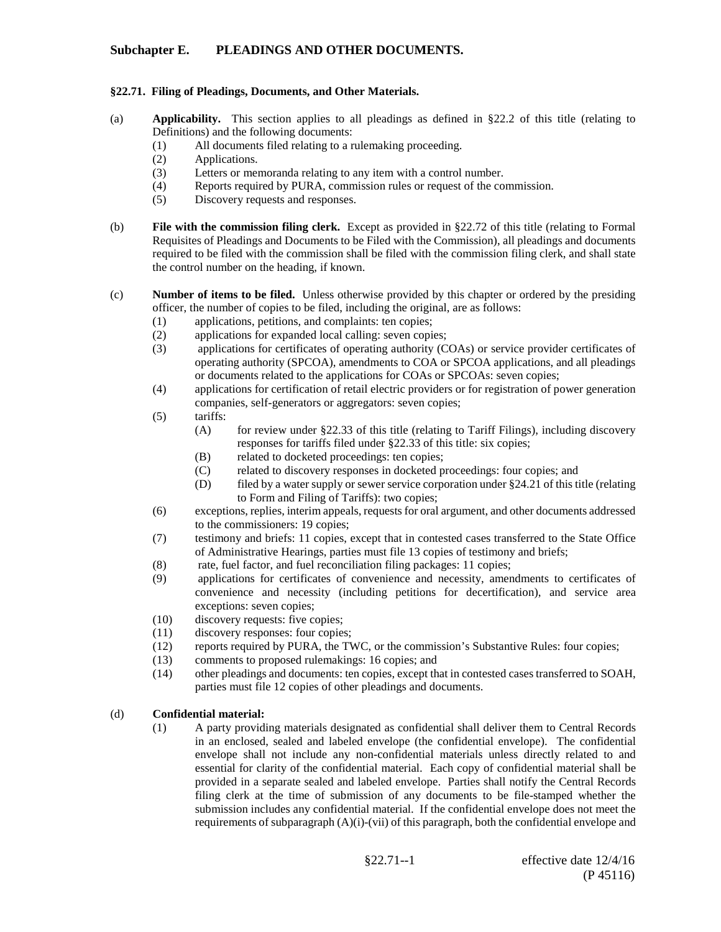### **Subchapter E. PLEADINGS AND OTHER DOCUMENTS.**

### **§22.71. Filing of Pleadings, Documents, and Other Materials.**

- (a) **Applicability.** This section applies to all pleadings as defined in §22.2 of this title (relating to Definitions) and the following documents:
	- (1) All documents filed relating to a rulemaking proceeding.
	- (2) Applications.
	- (3) Letters or memoranda relating to any item with a control number.
	- (4) Reports required by PURA, commission rules or request of the commission.
	- (5) Discovery requests and responses.
- (b) **File with the commission filing clerk.** Except as provided in §22.72 of this title (relating to Formal Requisites of Pleadings and Documents to be Filed with the Commission), all pleadings and documents required to be filed with the commission shall be filed with the commission filing clerk, and shall state the control number on the heading, if known.
- (c) **Number of items to be filed.** Unless otherwise provided by this chapter or ordered by the presiding officer, the number of copies to be filed, including the original, are as follows:
	- (1) applications, petitions, and complaints: ten copies;
	- (2) applications for expanded local calling: seven copies;
	- (3) applications for certificates of operating authority (COAs) or service provider certificates of operating authority (SPCOA), amendments to COA or SPCOA applications, and all pleadings or documents related to the applications for COAs or SPCOAs: seven copies;
	- (4) applications for certification of retail electric providers or for registration of power generation companies, self-generators or aggregators: seven copies;
	- (5) tariffs:
		- (A) for review under §22.33 of this title (relating to Tariff Filings), including discovery responses for tariffs filed under §22.33 of this title: six copies;
		- (B) related to docketed proceedings: ten copies;
		- (C) related to discovery responses in docketed proceedings: four copies; and
		- (D) filed by a water supply or sewer service corporation under  $\S 24.21$  of this title (relating to Form and Filing of Tariffs): two copies;
	- (6) exceptions, replies, interim appeals, requests for oral argument, and other documents addressed to the commissioners: 19 copies;
	- (7) testimony and briefs: 11 copies, except that in contested cases transferred to the State Office of Administrative Hearings, parties must file 13 copies of testimony and briefs;
	- (8) rate, fuel factor, and fuel reconciliation filing packages: 11 copies;
	- (9) applications for certificates of convenience and necessity, amendments to certificates of convenience and necessity (including petitions for decertification), and service area exceptions: seven copies;
	- (10) discovery requests: five copies;
	- (11) discovery responses: four copies;
	- (12) reports required by PURA, the TWC, or the commission's Substantive Rules: four copies;
	- (13) comments to proposed rulemakings: 16 copies; and (14) other pleadings and documents: ten copies, except the
	- other pleadings and documents: ten copies, except that in contested cases transferred to SOAH, parties must file 12 copies of other pleadings and documents.

### (d) **Confidential material:**

(1) A party providing materials designated as confidential shall deliver them to Central Records in an enclosed, sealed and labeled envelope (the confidential envelope). The confidential envelope shall not include any non-confidential materials unless directly related to and essential for clarity of the confidential material. Each copy of confidential material shall be provided in a separate sealed and labeled envelope. Parties shall notify the Central Records filing clerk at the time of submission of any documents to be file-stamped whether the submission includes any confidential material. If the confidential envelope does not meet the requirements of subparagraph (A)(i)-(vii) of this paragraph, both the confidential envelope and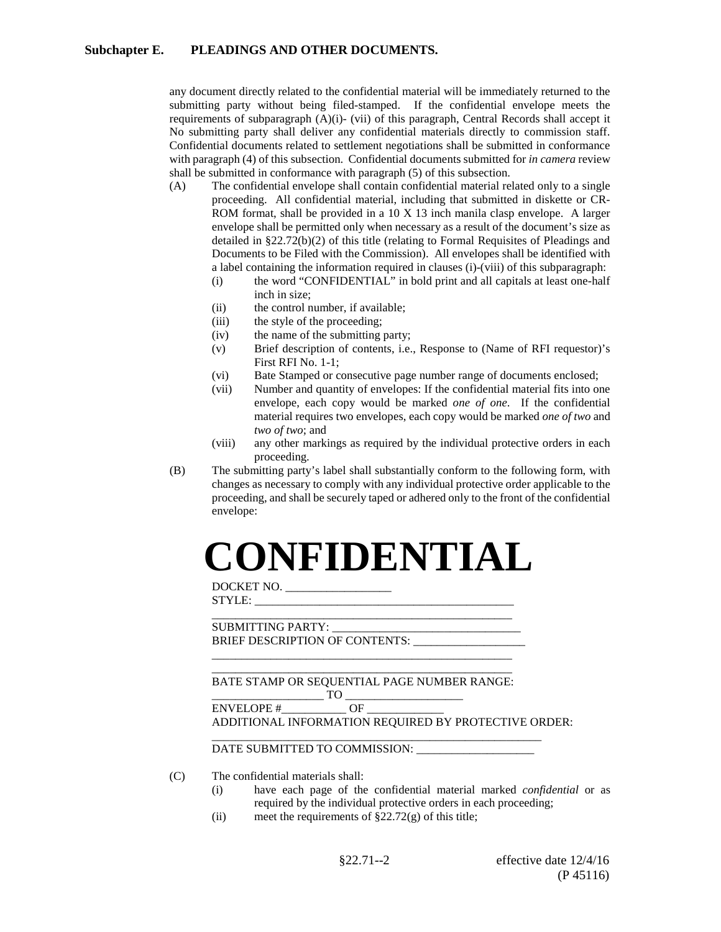any document directly related to the confidential material will be immediately returned to the submitting party without being filed-stamped. If the confidential envelope meets the requirements of subparagraph (A)(i)- (vii) of this paragraph, Central Records shall accept it No submitting party shall deliver any confidential materials directly to commission staff. Confidential documents related to settlement negotiations shall be submitted in conformance with paragraph (4) of this subsection. Confidential documents submitted for *in camera* review shall be submitted in conformance with paragraph (5) of this subsection.

- (A) The confidential envelope shall contain confidential material related only to a single proceeding. All confidential material, including that submitted in diskette or CR-ROM format, shall be provided in a 10 X 13 inch manila clasp envelope. A larger envelope shall be permitted only when necessary as a result of the document's size as detailed in §22.72(b)(2) of this title (relating to Formal Requisites of Pleadings and Documents to be Filed with the Commission). All envelopes shall be identified with a label containing the information required in clauses (i)-(viii) of this subparagraph:
	- (i) the word "CONFIDENTIAL" in bold print and all capitals at least one-half inch in size;
	- (ii) the control number, if available:
	- (iii) the style of the proceeding;
	- (iv) the name of the submitting party;
	- (v) Brief description of contents, i.e., Response to (Name of RFI requestor)'s First RFI No. 1-1;
	- (vi) Bate Stamped or consecutive page number range of documents enclosed;
	- (vii) Number and quantity of envelopes: If the confidential material fits into one envelope, each copy would be marked *one of one*. If the confidential material requires two envelopes, each copy would be marked *one of two* and *two of two*; and
	- (viii) any other markings as required by the individual protective orders in each proceeding.
- (B) The submitting party's label shall substantially conform to the following form, with changes as necessary to comply with any individual protective order applicable to the proceeding, and shall be securely taped or adhered only to the front of the confidential envelope:

## **CONFIDENTIAL**

DOCKET NO. \_\_\_\_\_\_\_\_\_\_\_\_\_\_\_\_\_\_  $STYLE:$ 

\_\_\_\_\_\_\_\_\_\_\_\_\_\_\_\_\_\_\_\_\_\_\_\_\_\_\_\_\_\_\_\_\_\_\_\_\_\_\_\_\_\_\_\_\_\_\_\_\_\_\_ SUBMITTING PARTY: \_\_\_\_\_\_\_\_\_\_\_\_\_\_\_\_\_\_\_\_\_\_\_\_\_\_\_\_\_\_\_\_ BRIEF DESCRIPTION OF CONTENTS: \_\_\_\_\_\_\_\_\_\_\_\_\_\_\_\_\_\_\_

\_\_\_\_\_\_\_\_\_\_\_\_\_\_\_\_\_\_\_\_\_\_\_\_\_\_\_\_\_\_\_\_\_\_\_\_\_\_\_\_\_\_\_\_\_\_\_\_\_\_\_ BATE STAMP OR SEQUENTIAL PAGE NUMBER RANGE:

\_\_\_\_\_\_\_\_\_\_\_\_\_\_\_\_\_\_\_\_\_\_\_\_\_\_\_\_\_\_\_\_\_\_\_\_\_\_\_\_\_\_\_\_\_\_\_\_\_\_\_

 $-$  TO  $\frac{ }{\text{OF}}$ ENVELOPE #

ADDITIONAL INFORMATION REQUIRED BY PROTECTIVE ORDER:

\_\_\_\_\_\_\_\_\_\_\_\_\_\_\_\_\_\_\_\_\_\_\_\_\_\_\_\_\_\_\_\_\_\_\_\_\_\_\_\_\_\_\_\_\_\_\_\_\_\_\_\_\_\_\_\_

DATE SUBMITTED TO COMMISSION:

(C) The confidential materials shall:

- (i) have each page of the confidential material marked *confidential* or as required by the individual protective orders in each proceeding;
- (ii) meet the requirements of  $\S 22.72(g)$  of this title;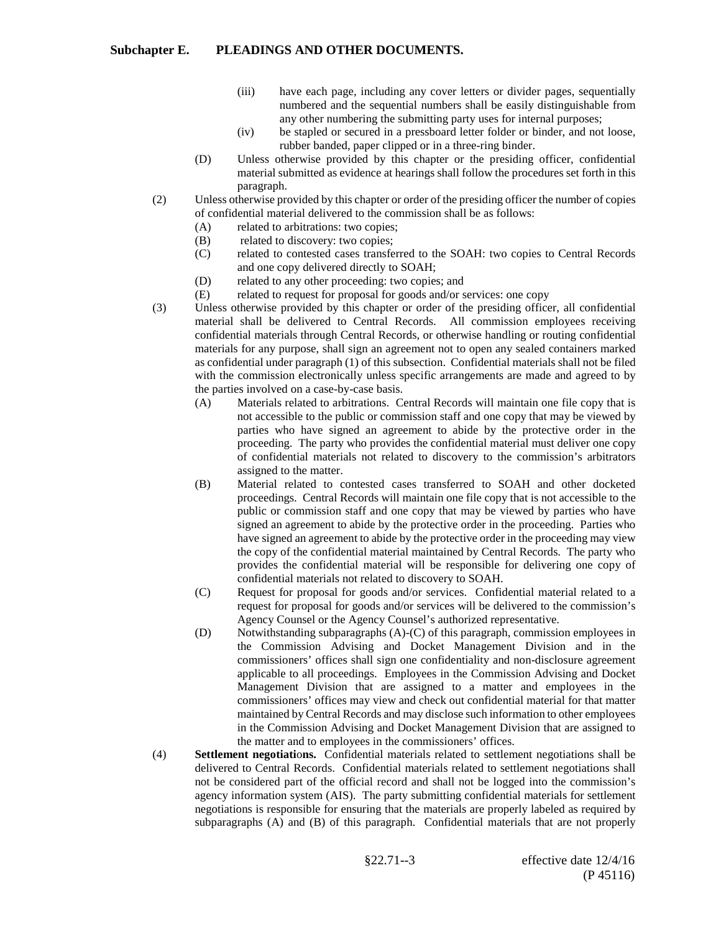- (iii) have each page, including any cover letters or divider pages, sequentially numbered and the sequential numbers shall be easily distinguishable from any other numbering the submitting party uses for internal purposes;
- (iv) be stapled or secured in a pressboard letter folder or binder, and not loose, rubber banded, paper clipped or in a three-ring binder.
- (D) Unless otherwise provided by this chapter or the presiding officer, confidential material submitted as evidence at hearings shall follow the procedures set forth in this paragraph.
- (2) Unless otherwise provided by this chapter or order of the presiding officer the number of copies of confidential material delivered to the commission shall be as follows:
	- (A) related to arbitrations: two copies;
	- (B) related to discovery: two copies;
	- (C) related to contested cases transferred to the SOAH: two copies to Central Records and one copy delivered directly to SOAH;
	- (D) related to any other proceeding: two copies; and
	- (E) related to request for proposal for goods and/or services: one copy
- (3) Unless otherwise provided by this chapter or order of the presiding officer, all confidential material shall be delivered to Central Records. All commission employees receiving confidential materials through Central Records, or otherwise handling or routing confidential materials for any purpose, shall sign an agreement not to open any sealed containers marked as confidential under paragraph (1) of this subsection. Confidential materials shall not be filed with the commission electronically unless specific arrangements are made and agreed to by the parties involved on a case-by-case basis.
	- (A) Materials related to arbitrations. Central Records will maintain one file copy that is not accessible to the public or commission staff and one copy that may be viewed by parties who have signed an agreement to abide by the protective order in the proceeding. The party who provides the confidential material must deliver one copy of confidential materials not related to discovery to the commission's arbitrators assigned to the matter.
	- (B) Material related to contested cases transferred to SOAH and other docketed proceedings. Central Records will maintain one file copy that is not accessible to the public or commission staff and one copy that may be viewed by parties who have signed an agreement to abide by the protective order in the proceeding. Parties who have signed an agreement to abide by the protective order in the proceeding may view the copy of the confidential material maintained by Central Records. The party who provides the confidential material will be responsible for delivering one copy of confidential materials not related to discovery to SOAH.
	- (C) Request for proposal for goods and/or services. Confidential material related to a request for proposal for goods and/or services will be delivered to the commission's Agency Counsel or the Agency Counsel's authorized representative.
	- (D) Notwithstanding subparagraphs (A)-(C) of this paragraph, commission employees in the Commission Advising and Docket Management Division and in the commissioners' offices shall sign one confidentiality and non-disclosure agreement applicable to all proceedings. Employees in the Commission Advising and Docket Management Division that are assigned to a matter and employees in the commissioners' offices may view and check out confidential material for that matter maintained by Central Records and may disclose such information to other employees in the Commission Advising and Docket Management Division that are assigned to the matter and to employees in the commissioners' offices.
- (4) **Settlement negotiati**o**ns.** Confidential materials related to settlement negotiations shall be delivered to Central Records. Confidential materials related to settlement negotiations shall not be considered part of the official record and shall not be logged into the commission's agency information system (AIS). The party submitting confidential materials for settlement negotiations is responsible for ensuring that the materials are properly labeled as required by subparagraphs (A) and (B) of this paragraph. Confidential materials that are not properly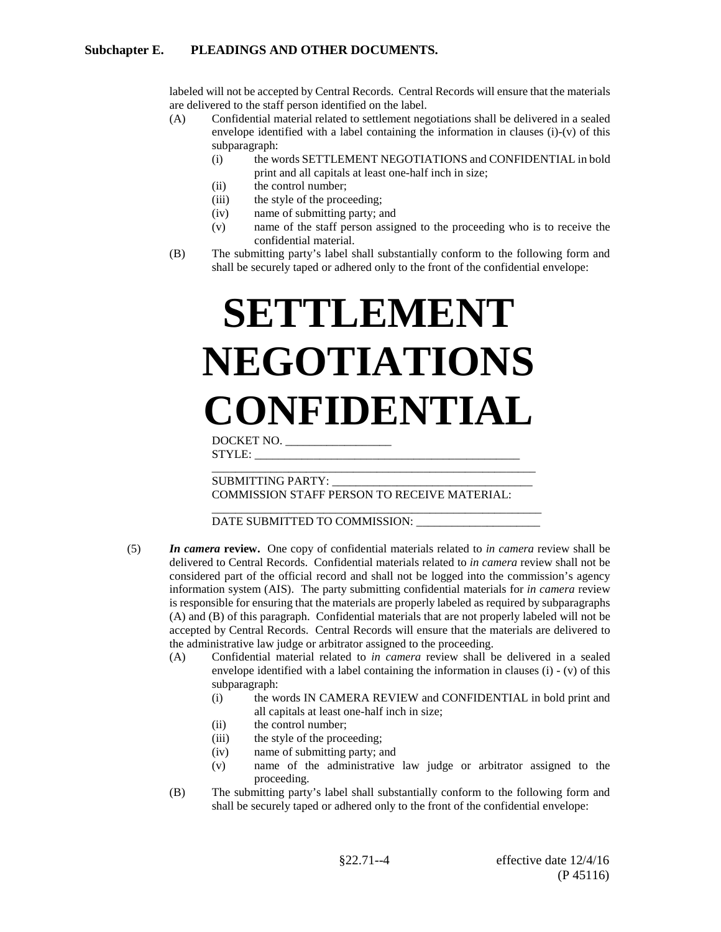### **Subchapter E. PLEADINGS AND OTHER DOCUMENTS.**

labeled will not be accepted by Central Records. Central Records will ensure that the materials are delivered to the staff person identified on the label.

- (A) Confidential material related to settlement negotiations shall be delivered in a sealed envelope identified with a label containing the information in clauses (i)-(v) of this subparagraph:
	- (i) the words SETTLEMENT NEGOTIATIONS and CONFIDENTIAL in bold print and all capitals at least one-half inch in size;
	- (ii) the control number;
	- (iii) the style of the proceeding;
	- (iv) name of submitting party; and
	- (v) name of the staff person assigned to the proceeding who is to receive the confidential material.
- (B) The submitting party's label shall substantially conform to the following form and shall be securely taped or adhered only to the front of the confidential envelope:

# **SETTLEMENT NEGOTIATIONS CONFIDENTIAL**

DOCKET NO. \_\_\_\_\_\_\_\_\_\_\_\_\_\_\_\_\_\_  $STYLE:$ 

\_\_\_\_\_\_\_\_\_\_\_\_\_\_\_\_\_\_\_\_\_\_\_\_\_\_\_\_\_\_\_\_\_\_\_\_\_\_\_\_\_\_\_\_\_\_\_\_\_\_\_\_\_\_\_ SUBMITTING PARTY: \_\_\_\_\_\_\_\_\_\_\_\_\_\_\_\_\_\_\_\_\_\_\_\_\_\_\_\_\_\_\_\_\_\_

COMMISSION STAFF PERSON TO RECEIVE MATERIAL:

#### \_\_\_\_\_\_\_\_\_\_\_\_\_\_\_\_\_\_\_\_\_\_\_\_\_\_\_\_\_\_\_\_\_\_\_\_\_\_\_\_\_\_\_\_\_\_\_\_\_\_\_\_\_\_\_\_ DATE SUBMITTED TO COMMISSION: \_\_\_\_\_\_\_\_\_\_\_\_\_\_\_\_\_\_\_\_\_

- (5) *In camera* **review.** One copy of confidential materials related to *in camera* review shall be delivered to Central Records. Confidential materials related to *in camera* review shall not be considered part of the official record and shall not be logged into the commission's agency information system (AIS). The party submitting confidential materials for *in camera* review is responsible for ensuring that the materials are properly labeled as required by subparagraphs (A) and (B) of this paragraph. Confidential materials that are not properly labeled will not be accepted by Central Records. Central Records will ensure that the materials are delivered to the administrative law judge or arbitrator assigned to the proceeding.
	- (A) Confidential material related to *in camera* review shall be delivered in a sealed envelope identified with a label containing the information in clauses (i) - (v) of this subparagraph:
		- (i) the words IN CAMERA REVIEW and CONFIDENTIAL in bold print and all capitals at least one-half inch in size;
		- (ii) the control number;
		- (iii) the style of the proceeding;
		- (iv) name of submitting party; and
		- (v) name of the administrative law judge or arbitrator assigned to the proceeding.
	- (B) The submitting party's label shall substantially conform to the following form and shall be securely taped or adhered only to the front of the confidential envelope: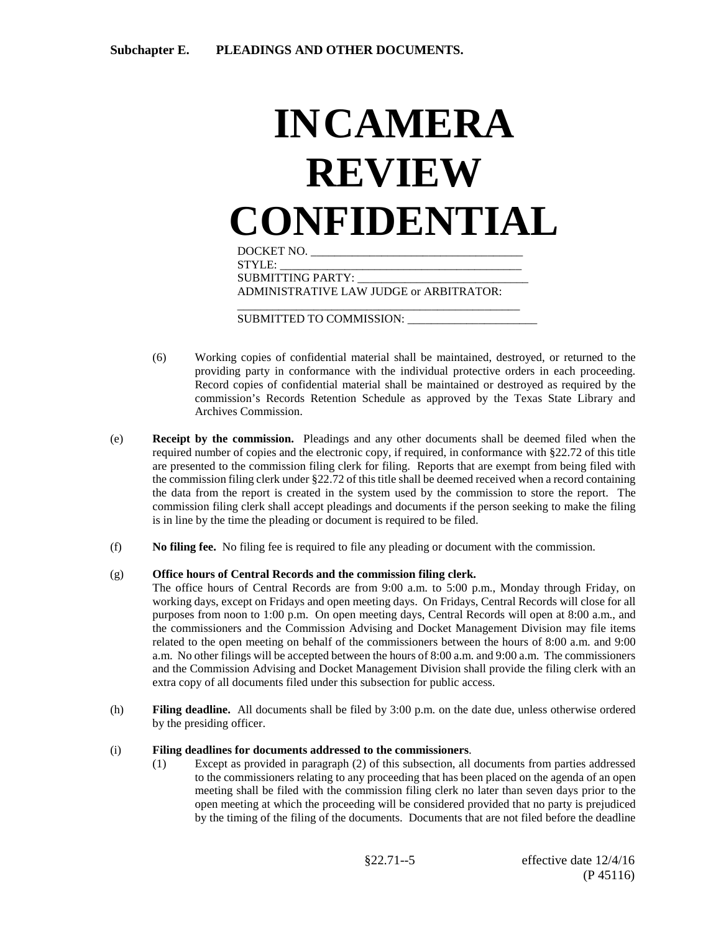### **INCAMERA REVIEW CONFIDENTIAL** DOCKET NO. \_\_\_\_\_\_\_\_\_\_\_\_\_\_\_\_\_\_\_\_\_\_\_\_\_\_\_\_\_\_\_\_\_\_\_\_

STYLE: SUBMITTING PARTY: ADMINISTRATIVE LAW JUDGE or ARBITRATOR: \_\_\_\_\_\_\_\_\_\_\_\_\_\_\_\_\_\_\_\_\_\_\_\_\_\_\_\_\_\_\_\_\_\_\_\_\_\_\_\_\_\_\_\_\_\_\_\_

SUBMITTED TO COMMISSION: \_\_\_\_\_\_\_\_\_\_\_\_\_\_\_\_\_\_\_\_\_\_

- (6) Working copies of confidential material shall be maintained, destroyed, or returned to the providing party in conformance with the individual protective orders in each proceeding. Record copies of confidential material shall be maintained or destroyed as required by the commission's Records Retention Schedule as approved by the Texas State Library and Archives Commission.
- (e) **Receipt by the commission.** Pleadings and any other documents shall be deemed filed when the required number of copies and the electronic copy, if required, in conformance with §22.72 of this title are presented to the commission filing clerk for filing. Reports that are exempt from being filed with the commission filing clerk under §22.72 of this title shall be deemed received when a record containing the data from the report is created in the system used by the commission to store the report. The commission filing clerk shall accept pleadings and documents if the person seeking to make the filing is in line by the time the pleading or document is required to be filed.
- (f) **No filing fee.** No filing fee is required to file any pleading or document with the commission.

### (g) **Office hours of Central Records and the commission filing clerk.**

- The office hours of Central Records are from 9:00 a.m. to 5:00 p.m., Monday through Friday, on working days, except on Fridays and open meeting days. On Fridays, Central Records will close for all purposes from noon to 1:00 p.m. On open meeting days, Central Records will open at 8:00 a.m., and the commissioners and the Commission Advising and Docket Management Division may file items related to the open meeting on behalf of the commissioners between the hours of 8:00 a.m. and 9:00 a.m. No other filings will be accepted between the hours of 8:00 a.m. and 9:00 a.m. The commissioners and the Commission Advising and Docket Management Division shall provide the filing clerk with an extra copy of all documents filed under this subsection for public access.
- (h) **Filing deadline.** All documents shall be filed by 3:00 p.m. on the date due, unless otherwise ordered by the presiding officer.

### (i) **Filing deadlines for documents addressed to the commissioners**.

(1) Except as provided in paragraph (2) of this subsection, all documents from parties addressed to the commissioners relating to any proceeding that has been placed on the agenda of an open meeting shall be filed with the commission filing clerk no later than seven days prior to the open meeting at which the proceeding will be considered provided that no party is prejudiced by the timing of the filing of the documents. Documents that are not filed before the deadline